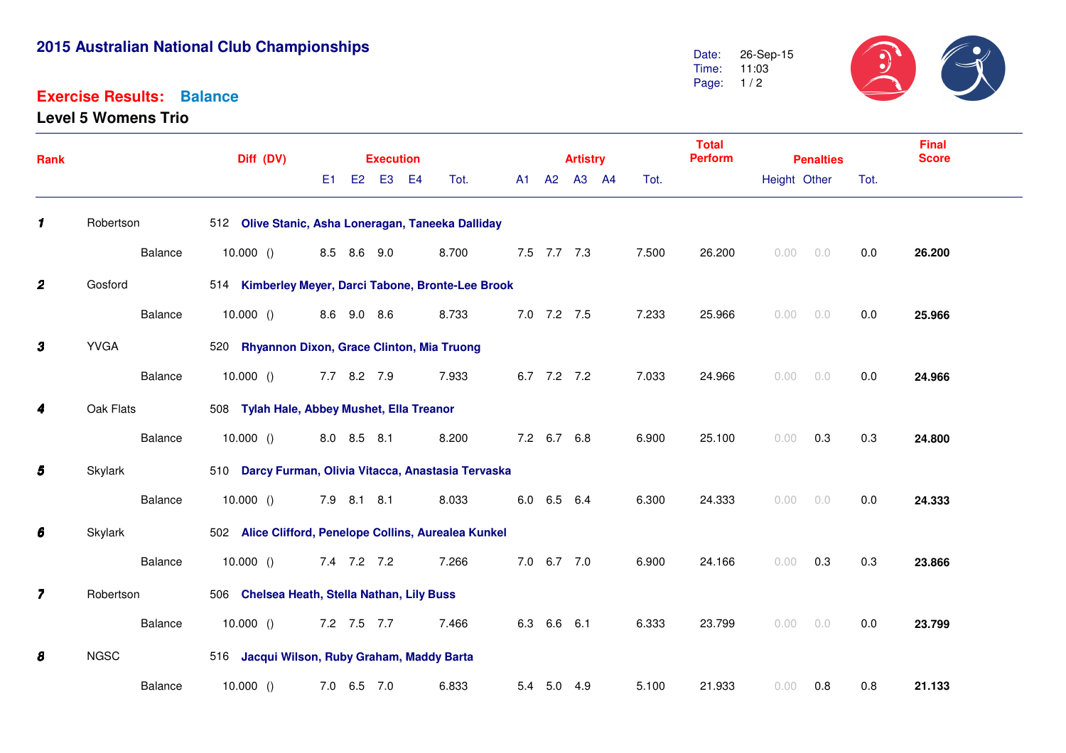## **2015 Australian National Club Championships**

## **Exercise Results:Balance**

**Level 5 Womens Trio**



| Rank                    |                                                                 | Diff (DV)                                             |             |  |  | <b>Artistry</b> |  |  | <b>Total</b><br><b>Perform</b> | <b>Penalties</b> |       |        | <b>Final</b><br><b>Score</b> |     |      |        |
|-------------------------|-----------------------------------------------------------------|-------------------------------------------------------|-------------|--|--|-----------------|--|--|--------------------------------|------------------|-------|--------|------------------------------|-----|------|--------|
|                         |                                                                 |                                                       | E1 E2 E3 E4 |  |  | Tot.            |  |  | A1 A2 A3 A4                    |                  | Tot.  |        | Height Other                 |     | Tot. |        |
| 1                       | Robertson<br>512 Olive Stanic, Asha Loneragan, Taneeka Dalliday |                                                       |             |  |  |                 |  |  |                                |                  |       |        |                              |     |      |        |
|                         | Balance                                                         | 10.000()                                              | 8.5 8.6 9.0 |  |  | 8.700           |  |  | 7.5 7.7 7.3                    |                  | 7.500 | 26.200 | 0.00                         | 0.0 | 0.0  | 26.200 |
| $\boldsymbol{2}$        | Gosford<br>514 Kimberley Meyer, Darci Tabone, Bronte-Lee Brook  |                                                       |             |  |  |                 |  |  |                                |                  |       |        |                              |     |      |        |
|                         | Balance                                                         | 10.000()                                              | 8.6 9.0 8.6 |  |  | 8.733           |  |  | 7.0 7.2 7.5                    |                  | 7.233 | 25.966 | 0.00                         | 0.0 | 0.0  | 25.966 |
| $\boldsymbol{3}$        | <b>YVGA</b>                                                     | 520 Rhyannon Dixon, Grace Clinton, Mia Truong         |             |  |  |                 |  |  |                                |                  |       |        |                              |     |      |        |
|                         | Balance                                                         | 10.000()                                              | 7.7 8.2 7.9 |  |  | 7.933           |  |  | 6.7 7.2 7.2                    |                  | 7.033 | 24.966 | 0.00                         | 0.0 | 0.0  | 24.966 |
| 4                       | Oak Flats                                                       | 508 Tylah Hale, Abbey Mushet, Ella Treanor            |             |  |  |                 |  |  |                                |                  |       |        |                              |     |      |        |
|                         | Balance                                                         | 10.000()                                              | 8.0 8.5 8.1 |  |  | 8.200           |  |  | 7.2 6.7 6.8                    |                  | 6.900 | 25.100 | 0.00                         | 0.3 | 0.3  | 24.800 |
| $\boldsymbol{5}$        | Skylark                                                         | 510 Darcy Furman, Olivia Vitacca, Anastasia Tervaska  |             |  |  |                 |  |  |                                |                  |       |        |                              |     |      |        |
|                         | Balance                                                         | 10.000()                                              | 7.9 8.1 8.1 |  |  | 8.033           |  |  | 6.0 6.5 6.4                    |                  | 6.300 | 24.333 | 0.00                         | 0.0 | 0.0  | 24.333 |
| 6                       | Skylark                                                         | 502 Alice Clifford, Penelope Collins, Aurealea Kunkel |             |  |  |                 |  |  |                                |                  |       |        |                              |     |      |        |
|                         | Balance                                                         | 10.000()                                              | 7.4 7.2 7.2 |  |  | 7.266           |  |  | 7.0 6.7 7.0                    |                  | 6.900 | 24.166 | 0.00                         | 0.3 | 0.3  | 23.866 |
| $\overline{\mathbf{z}}$ | Robertson                                                       | 506 Chelsea Heath, Stella Nathan, Lily Buss           |             |  |  |                 |  |  |                                |                  |       |        |                              |     |      |        |
|                         | Balance                                                         | 10.000()                                              | 7.2 7.5 7.7 |  |  | 7.466           |  |  | 6.3 6.6 6.1                    |                  | 6.333 | 23.799 | 0.00                         | 0.0 | 0.0  | 23.799 |
| 8                       | <b>NGSC</b>                                                     | 516 Jacqui Wilson, Ruby Graham, Maddy Barta           |             |  |  |                 |  |  |                                |                  |       |        |                              |     |      |        |
|                         | Balance                                                         | 10.000()                                              | 7.0 6.5 7.0 |  |  | 6.833           |  |  | 5.4 5.0 4.9                    |                  | 5.100 | 21.933 | 0.00                         | 0.8 | 0.8  | 21.133 |